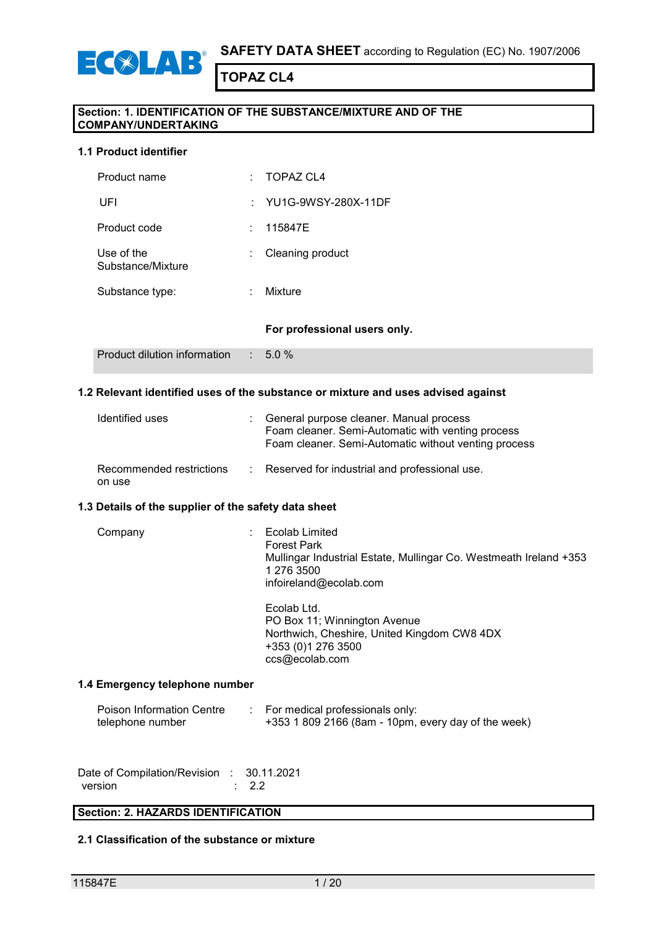

#### **Section: 1. IDENTIFICATION OF THE SUBSTANCE/MIXTURE AND OF THE COMPANY/UNDERTAKING**

#### **1.1 Product identifier**

ECOLAR

| Product name                    | ۰. | <b>TOPAZ CL4</b>             |
|---------------------------------|----|------------------------------|
| UFI                             |    | : YU1G-9WSY-280X-11DF        |
| Product code                    | ÷  | 115847E                      |
| Use of the<br>Substance/Mixture | ÷  | Cleaning product             |
| Substance type:                 | ÷  | Mixture                      |
|                                 |    | For professional users only. |
| Product dilution information    | ÷. | 5.0%                         |

#### **1.2 Relevant identified uses of the substance or mixture and uses advised against**

| Identified uses                    | : General purpose cleaner. Manual process<br>Foam cleaner. Semi-Automatic with venting process<br>Foam cleaner. Semi-Automatic without venting process |
|------------------------------------|--------------------------------------------------------------------------------------------------------------------------------------------------------|
| Recommended restrictions<br>on use | : Reserved for industrial and professional use.                                                                                                        |

#### **1.3 Details of the supplier of the safety data sheet**

| Company | Ecolab Limited<br><b>Forest Park</b><br>Mullingar Industrial Estate, Mullingar Co. Westmeath Ireland +353<br>1 276 3500<br>infoireland@ecolab.com |
|---------|---------------------------------------------------------------------------------------------------------------------------------------------------|
|         | Ecolab Ltd.<br>PO Box 11; Winnington Avenue<br>Northwich, Cheshire, United Kingdom CW8 4DX                                                        |

#### **1.4 Emergency telephone number**

| Poison Information Centre | For medical professionals only:                       |
|---------------------------|-------------------------------------------------------|
| telephone number          | $+353$ 1 809 2166 (8am - 10pm, every day of the week) |

+353 (0)1 276 3500 ccs@ecolab.com

| Date of Compilation/Revision : 30.11.2021 |                  |
|-------------------------------------------|------------------|
| version                                   | $\therefore$ 2.2 |

#### **Section: 2. HAZARDS IDENTIFICATION**

#### **2.1 Classification of the substance or mixture**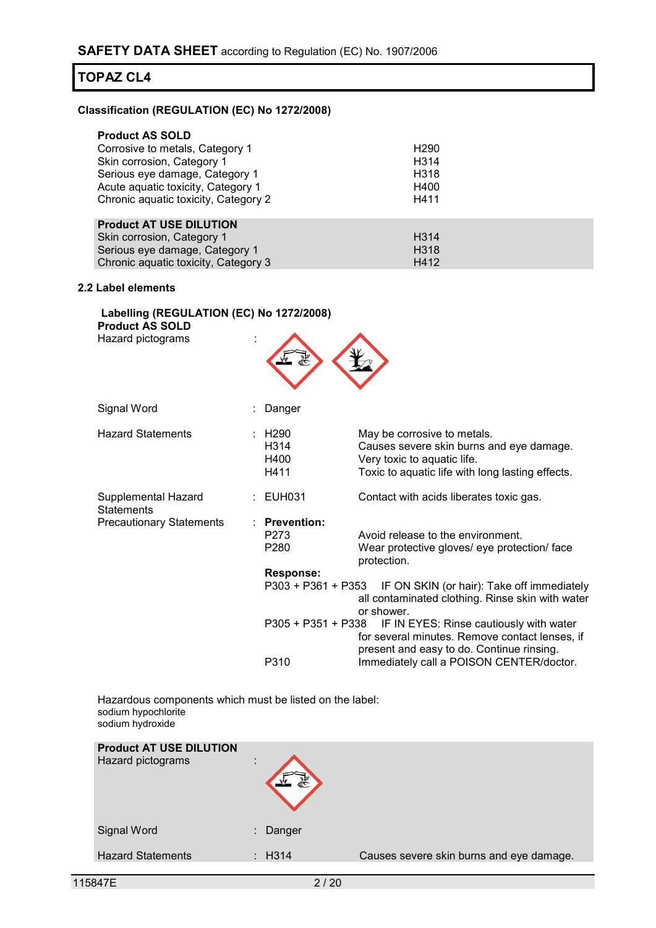#### **Classification (REGULATION (EC) No 1272/2008)**

| <b>Product AS SOLD</b>               |                   |
|--------------------------------------|-------------------|
| Corrosive to metals, Category 1      | H <sub>290</sub>  |
| Skin corrosion, Category 1           | H <sub>3</sub> 14 |
| Serious eye damage, Category 1       | H <sub>318</sub>  |
| Acute aquatic toxicity, Category 1   | H400              |
| Chronic aquatic toxicity, Category 2 | H411              |
| <b>Product AT USE DILUTION</b>       |                   |
| Skin corrosion, Category 1           | H <sub>3</sub> 14 |

## Serious eye damage, Category 1 H318 Chronic aquatic toxicity, Category 3 H412

#### **2.2 Label elements**

| Labelling (REGULATION (EC) No 1272/2008) |  |
|------------------------------------------|--|
| <b>Product AS SOLD</b>                   |  |
| Hazard pictograms                        |  |



| Signal Word                              | Danger                          |                                                                                                                                                            |
|------------------------------------------|---------------------------------|------------------------------------------------------------------------------------------------------------------------------------------------------------|
| <b>Hazard Statements</b>                 | : H290<br>H314<br>H400<br>H411  | May be corrosive to metals.<br>Causes severe skin burns and eye damage.<br>Very toxic to aquatic life.<br>Toxic to aquatic life with long lasting effects. |
| Supplemental Hazard<br><b>Statements</b> | : EUH031                        | Contact with acids liberates toxic gas.                                                                                                                    |
| <b>Precautionary Statements</b>          | $:$ Prevention:<br>P273<br>P280 | Avoid release to the environment.<br>Wear protective gloves/ eye protection/ face<br>protection.                                                           |
|                                          | <b>Response:</b>                |                                                                                                                                                            |
|                                          | P303 + P361 + P353              | IF ON SKIN (or hair): Take off immediately<br>all contaminated clothing. Rinse skin with water<br>or shower.                                               |
|                                          |                                 | P305 + P351 + P338 IF IN EYES: Rinse cautiously with water<br>for several minutes. Remove contact lenses, if<br>present and easy to do. Continue rinsing.  |
|                                          | P310                            | Immediately call a POISON CENTER/doctor.                                                                                                                   |

Hazardous components which must be listed on the label: sodium hypochlorite sodium hydroxide

| <b>Product AT USE DILUTION</b><br>Hazard pictograms | $\bullet$      |                   |                                          |
|-----------------------------------------------------|----------------|-------------------|------------------------------------------|
| Signal Word                                         | $\blacksquare$ | Danger            |                                          |
| <b>Hazard Statements</b>                            |                | $\therefore$ H314 | Causes severe skin burns and eye damage. |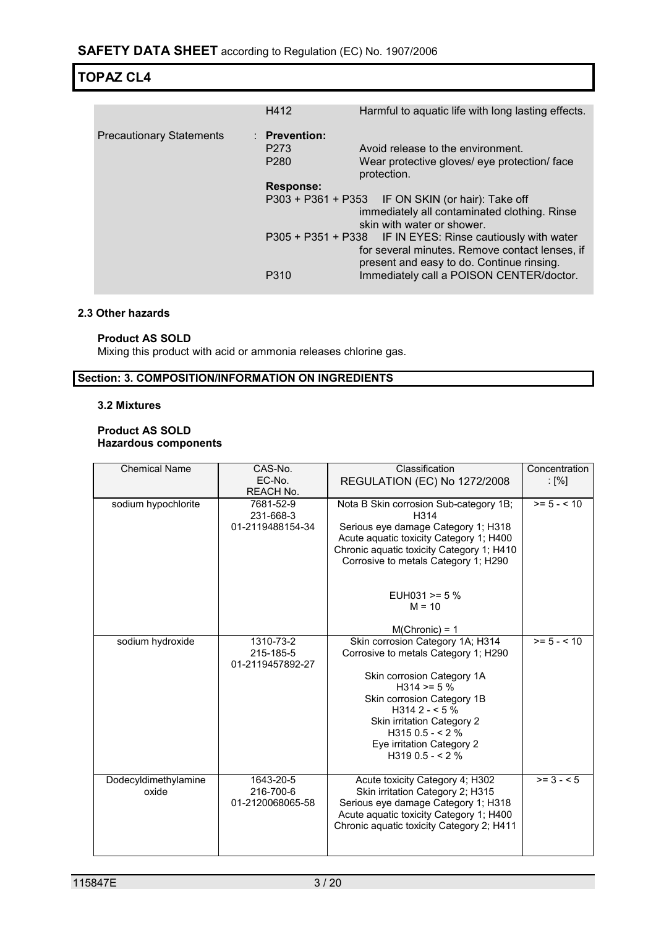|                                 | H412                     | Harmful to aquatic life with long lasting effects.                                                                                                        |
|---------------------------------|--------------------------|-----------------------------------------------------------------------------------------------------------------------------------------------------------|
| <b>Precautionary Statements</b> | $\therefore$ Prevention: |                                                                                                                                                           |
|                                 | P <sub>273</sub>         | Avoid release to the environment.                                                                                                                         |
|                                 | P <sub>280</sub>         | Wear protective gloves/ eye protection/ face<br>protection.                                                                                               |
|                                 | <b>Response:</b>         |                                                                                                                                                           |
|                                 |                          | P303 + P361 + P353 IF ON SKIN (or hair): Take off<br>immediately all contaminated clothing. Rinse<br>skin with water or shower.                           |
|                                 |                          | P305 + P351 + P338 IF IN EYES: Rinse cautiously with water<br>for several minutes. Remove contact lenses, if<br>present and easy to do. Continue rinsing. |
|                                 | P310                     | Immediately call a POISON CENTER/doctor.                                                                                                                  |

#### **2.3 Other hazards**

#### **Product AS SOLD**

Mixing this product with acid or ammonia releases chlorine gas.

#### **Section: 3. COMPOSITION/INFORMATION ON INGREDIENTS**

#### **3.2 Mixtures**

#### **Product AS SOLD Hazardous components**

| <b>Chemical Name</b>          | CAS-No.                | Classification                                                                    | Concentration             |
|-------------------------------|------------------------|-----------------------------------------------------------------------------------|---------------------------|
|                               | EC-No.                 | REGULATION (EC) No 1272/2008                                                      | $\lceil \% \rceil$        |
|                               | REACH No.              |                                                                                   |                           |
| sodium hypochlorite           | 7681-52-9              | Nota B Skin corrosion Sub-category 1B;                                            | $>= 5 - < 10$             |
|                               | 231-668-3              | H314                                                                              |                           |
|                               | 01-2119488154-34       | Serious eye damage Category 1; H318                                               |                           |
|                               |                        | Acute aquatic toxicity Category 1; H400                                           |                           |
|                               |                        | Chronic aquatic toxicity Category 1; H410<br>Corrosive to metals Category 1; H290 |                           |
|                               |                        |                                                                                   |                           |
|                               |                        |                                                                                   |                           |
|                               |                        | EUH031 >= $5%$                                                                    |                           |
|                               |                        | $M = 10$                                                                          |                           |
|                               |                        | $M(Chronic) = 1$                                                                  |                           |
| sodium hydroxide              | 1310-73-2              | Skin corrosion Category 1A; H314                                                  | $\overline{5}$ = 5 - < 10 |
|                               | 215-185-5              | Corrosive to metals Category 1; H290                                              |                           |
|                               | 01-2119457892-27       |                                                                                   |                           |
|                               |                        | Skin corrosion Category 1A                                                        |                           |
|                               |                        | $H314 = 5%$                                                                       |                           |
|                               |                        | Skin corrosion Category 1B<br>$H3142 - 5%$                                        |                           |
|                               |                        | Skin irritation Category 2                                                        |                           |
|                               |                        | $H3150.5 - 2%$                                                                    |                           |
|                               |                        | Eye irritation Category 2                                                         |                           |
|                               |                        | $H3190.5 - 2%$                                                                    |                           |
|                               |                        |                                                                                   | $\overline{>}$ = 3 - < 5  |
| Dodecyldimethylamine<br>oxide | 1643-20-5<br>216-700-6 | Acute toxicity Category 4; H302<br>Skin irritation Category 2; H315               |                           |
|                               | 01-2120068065-58       | Serious eye damage Category 1; H318                                               |                           |
|                               |                        | Acute aguatic toxicity Category 1; H400                                           |                           |
|                               |                        | Chronic aguatic toxicity Category 2; H411                                         |                           |
|                               |                        |                                                                                   |                           |
|                               |                        |                                                                                   |                           |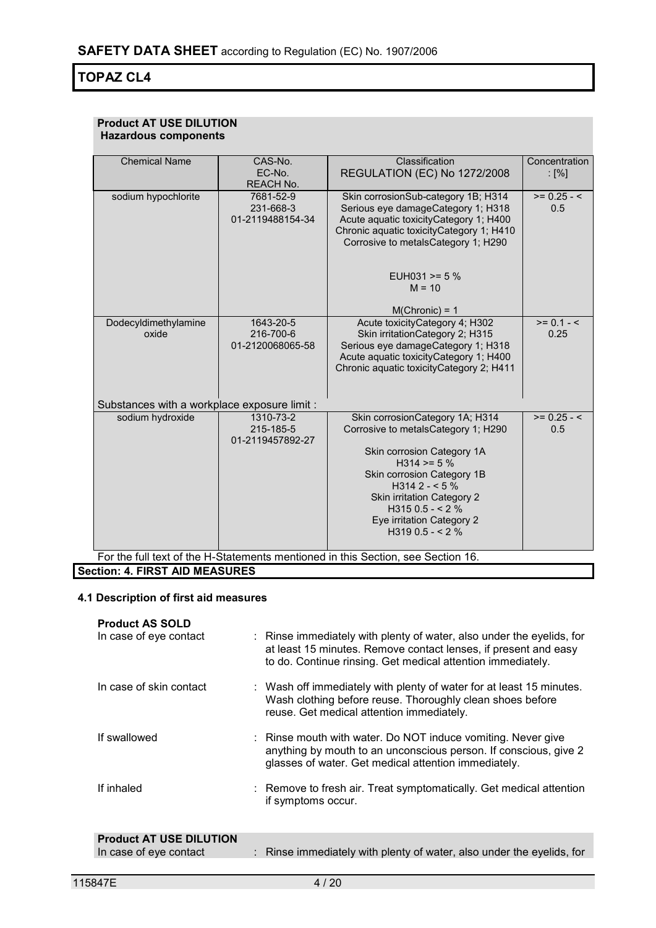#### **Product AT USE DILUTION Hazardous components**

| <b>Chemical Name</b>                         | CAS-No.          | Classification                                                                   | Concentration |
|----------------------------------------------|------------------|----------------------------------------------------------------------------------|---------------|
|                                              | EC-No.           | <b>REGULATION (EC) No 1272/2008</b>                                              | : $[%]$       |
|                                              | REACH No.        |                                                                                  |               |
| sodium hypochlorite                          | 7681-52-9        | Skin corrosionSub-category 1B; H314                                              | $>= 0.25 - 5$ |
|                                              | 231-668-3        | Serious eye damageCategory 1; H318                                               | 0.5           |
|                                              | 01-2119488154-34 | Acute aquatic toxicityCategory 1; H400                                           |               |
|                                              |                  | Chronic aquatic toxicity Category 1; H410                                        |               |
|                                              |                  | Corrosive to metalsCategory 1; H290                                              |               |
|                                              |                  |                                                                                  |               |
|                                              |                  |                                                                                  |               |
|                                              |                  | EUH031 >= $5%$                                                                   |               |
|                                              |                  | $M = 10$                                                                         |               |
|                                              |                  |                                                                                  |               |
|                                              |                  | $M(Chronic) = 1$                                                                 |               |
| Dodecyldimethylamine                         | 1643-20-5        | Acute toxicityCategory 4; H302                                                   | $>= 0.1 - 5$  |
| oxide                                        | 216-700-6        | Skin irritationCategory 2; H315                                                  | 0.25          |
|                                              | 01-2120068065-58 | Serious eye damageCategory 1; H318                                               |               |
|                                              |                  | Acute aquatic toxicityCategory 1; H400                                           |               |
|                                              |                  | Chronic aquatic toxicityCategory 2; H411                                         |               |
|                                              |                  |                                                                                  |               |
|                                              |                  |                                                                                  |               |
| Substances with a workplace exposure limit : |                  |                                                                                  |               |
| sodium hydroxide                             | 1310-73-2        | Skin corrosionCategory 1A; H314                                                  | $>= 0.25 - 5$ |
|                                              | 215-185-5        | Corrosive to metalsCategory 1; H290                                              | 0.5           |
|                                              | 01-2119457892-27 |                                                                                  |               |
|                                              |                  | Skin corrosion Category 1A                                                       |               |
|                                              |                  | H314 > 5%                                                                        |               |
|                                              |                  | Skin corrosion Category 1B                                                       |               |
|                                              |                  | H314 2 - < 5 $\%$                                                                |               |
|                                              |                  | Skin irritation Category 2                                                       |               |
|                                              |                  | $H3150.5 - 2%$                                                                   |               |
|                                              |                  | Eye irritation Category 2                                                        |               |
|                                              |                  | $H3190.5 - 2%$                                                                   |               |
|                                              |                  |                                                                                  |               |
|                                              |                  | For the full text of the H-Statements mentioned in this Section, see Section 16. |               |

**Section: 4. FIRST AID MEASURES**

#### **4.1 Description of first aid measures**

| <b>Product AS SOLD</b><br>In case of eye contact | : Rinse immediately with plenty of water, also under the eyelids, for<br>at least 15 minutes. Remove contact lenses, if present and easy<br>to do. Continue rinsing. Get medical attention immediately. |
|--------------------------------------------------|---------------------------------------------------------------------------------------------------------------------------------------------------------------------------------------------------------|
| In case of skin contact                          | : Wash off immediately with plenty of water for at least 15 minutes.<br>Wash clothing before reuse. Thoroughly clean shoes before<br>reuse. Get medical attention immediately.                          |
| If swallowed                                     | : Rinse mouth with water. Do NOT induce vomiting. Never give<br>anything by mouth to an unconscious person. If conscious, give 2<br>glasses of water. Get medical attention immediately.                |
| If inhaled                                       | : Remove to fresh air. Treat symptomatically. Get medical attention<br>if symptoms occur.                                                                                                               |
| <b>Product AT USE DILUTION</b>                   |                                                                                                                                                                                                         |

| In case of eye contact |  | Rinse immediately with plenty of water, also under the eyelids, for |  |  |  |
|------------------------|--|---------------------------------------------------------------------|--|--|--|
|------------------------|--|---------------------------------------------------------------------|--|--|--|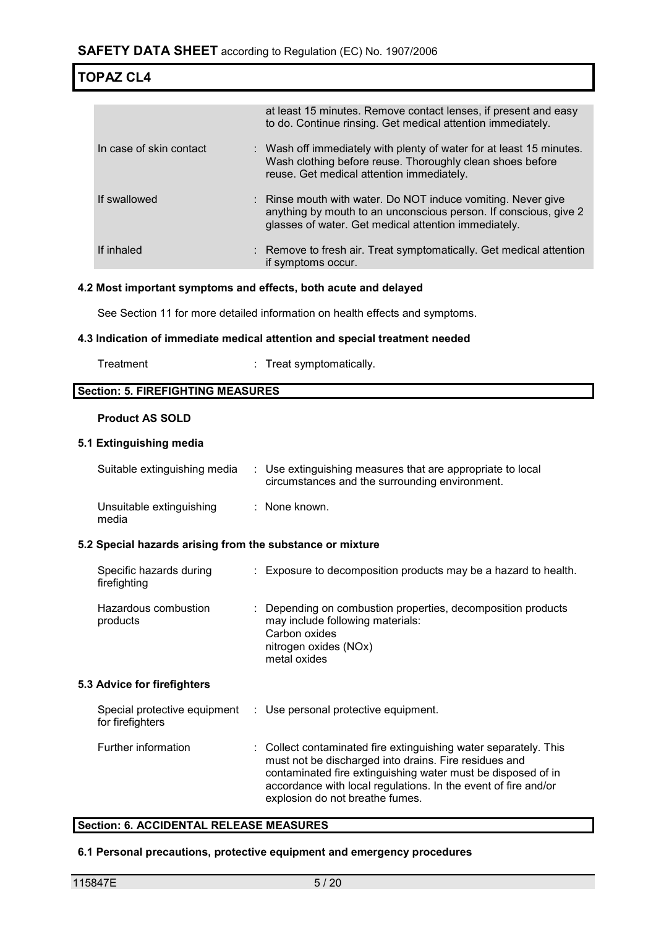|                         | at least 15 minutes. Remove contact lenses, if present and easy<br>to do. Continue rinsing. Get medical attention immediately.                                                           |
|-------------------------|------------------------------------------------------------------------------------------------------------------------------------------------------------------------------------------|
| In case of skin contact | : Wash off immediately with plenty of water for at least 15 minutes.<br>Wash clothing before reuse. Thoroughly clean shoes before<br>reuse. Get medical attention immediately.           |
| If swallowed            | : Rinse mouth with water. Do NOT induce vomiting. Never give<br>anything by mouth to an unconscious person. If conscious, give 2<br>glasses of water. Get medical attention immediately. |
| If inhaled              | : Remove to fresh air. Treat symptomatically. Get medical attention<br>if symptoms occur.                                                                                                |

#### **4.2 Most important symptoms and effects, both acute and delayed**

See Section 11 for more detailed information on health effects and symptoms.

#### **4.3 Indication of immediate medical attention and special treatment needed**

Treatment : Treat symptomatically.

#### **Section: 5. FIREFIGHTING MEASURES**

#### **Product AS SOLD**

#### **5.1 Extinguishing media**

| Suitable extinguishing media                              | : Use extinguishing measures that are appropriate to local<br>circumstances and the surrounding environment. |
|-----------------------------------------------------------|--------------------------------------------------------------------------------------------------------------|
| Unsuitable extinguishing<br>media                         | : None known.                                                                                                |
| 5.2 Special hazards arising from the substance or mixture |                                                                                                              |
| Specific hazards during<br>firefighting                   | : Exposure to decomposition products may be a hazard to health.                                              |

| Hazardous combustion<br>products | : Depending on combustion properties, decomposition products<br>may include following materials:<br>Carbon oxides<br>nitrogen oxides (NOx) |
|----------------------------------|--------------------------------------------------------------------------------------------------------------------------------------------|
|                                  | metal oxides                                                                                                                               |

#### **5.3 Advice for firefighters**

| Special protective equipment<br>for firefighters | : Use personal protective equipment.                                                                                                                                                                                                                                                           |
|--------------------------------------------------|------------------------------------------------------------------------------------------------------------------------------------------------------------------------------------------------------------------------------------------------------------------------------------------------|
| Further information                              | : Collect contaminated fire extinguishing water separately. This<br>must not be discharged into drains. Fire residues and<br>contaminated fire extinguishing water must be disposed of in<br>accordance with local regulations. In the event of fire and/or<br>explosion do not breathe fumes. |

#### **Section: 6. ACCIDENTAL RELEASE MEASURES**

#### **6.1 Personal precautions, protective equipment and emergency procedures**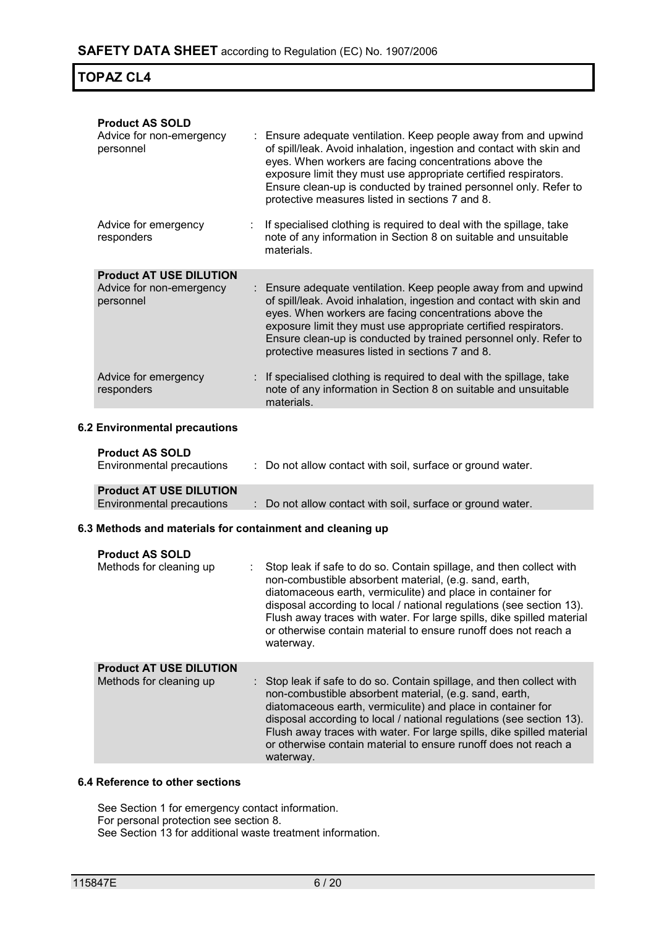| <b>Product AS SOLD</b><br>Advice for non-emergency<br>personnel         | Ensure adequate ventilation. Keep people away from and upwind<br>of spill/leak. Avoid inhalation, ingestion and contact with skin and<br>eyes. When workers are facing concentrations above the<br>exposure limit they must use appropriate certified respirators.<br>Ensure clean-up is conducted by trained personnel only. Refer to<br>protective measures listed in sections 7 and 8. |
|-------------------------------------------------------------------------|-------------------------------------------------------------------------------------------------------------------------------------------------------------------------------------------------------------------------------------------------------------------------------------------------------------------------------------------------------------------------------------------|
| Advice for emergency<br>responders                                      | If specialised clothing is required to deal with the spillage, take<br>note of any information in Section 8 on suitable and unsuitable<br>materials.                                                                                                                                                                                                                                      |
| <b>Product AT USE DILUTION</b><br>Advice for non-emergency<br>personnel | Ensure adequate ventilation. Keep people away from and upwind<br>of spill/leak. Avoid inhalation, ingestion and contact with skin and<br>eyes. When workers are facing concentrations above the<br>exposure limit they must use appropriate certified respirators.<br>Ensure clean-up is conducted by trained personnel only. Refer to<br>protective measures listed in sections 7 and 8. |
| Advice for emergency<br>responders                                      | If specialised clothing is required to deal with the spillage, take<br>note of any information in Section 8 on suitable and unsuitable<br>materials.                                                                                                                                                                                                                                      |
| <b>6.2 Environmental precautions</b>                                    |                                                                                                                                                                                                                                                                                                                                                                                           |
| <b>Product AS SOLD</b><br>Environmental precautions                     | : Do not allow contact with soil, surface or ground water.                                                                                                                                                                                                                                                                                                                                |
| <b>Product AT USE DILUTION</b><br><b>Environmental precautions</b>      | : Do not allow contact with soil, surface or ground water.                                                                                                                                                                                                                                                                                                                                |
|                                                                         |                                                                                                                                                                                                                                                                                                                                                                                           |

#### **6.3 Methods and materials for containment and cleaning up**

| <b>Product AS SOLD</b><br>Methods for cleaning up         | Stop leak if safe to do so. Contain spillage, and then collect with<br>non-combustible absorbent material, (e.g. sand, earth,<br>diatomaceous earth, vermiculite) and place in container for<br>disposal according to local / national regulations (see section 13).<br>Flush away traces with water. For large spills, dike spilled material<br>or otherwise contain material to ensure runoff does not reach a<br>waterway.   |
|-----------------------------------------------------------|---------------------------------------------------------------------------------------------------------------------------------------------------------------------------------------------------------------------------------------------------------------------------------------------------------------------------------------------------------------------------------------------------------------------------------|
| <b>Product AT USE DILUTION</b><br>Methods for cleaning up | : Stop leak if safe to do so. Contain spillage, and then collect with<br>non-combustible absorbent material, (e.g. sand, earth,<br>diatomaceous earth, vermiculite) and place in container for<br>disposal according to local / national regulations (see section 13).<br>Flush away traces with water. For large spills, dike spilled material<br>or otherwise contain material to ensure runoff does not reach a<br>waterway. |

#### **6.4 Reference to other sections**

See Section 1 for emergency contact information. For personal protection see section 8. See Section 13 for additional waste treatment information.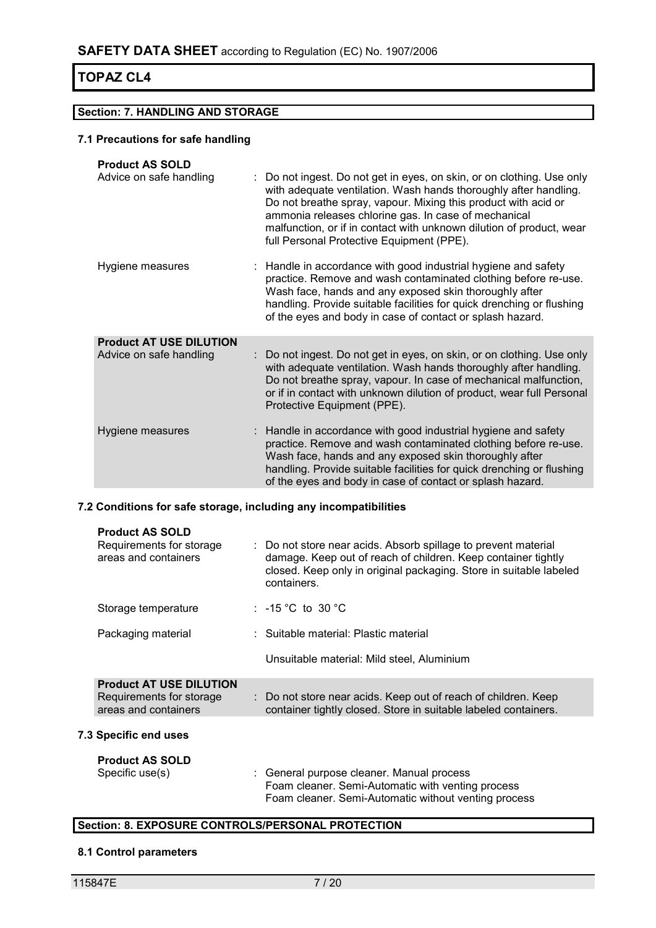#### **Section: 7. HANDLING AND STORAGE**

#### **7.1 Precautions for safe handling**

| <b>Product AS SOLD</b><br>Advice on safe handling         | : Do not ingest. Do not get in eyes, on skin, or on clothing. Use only<br>with adequate ventilation. Wash hands thoroughly after handling.<br>Do not breathe spray, vapour. Mixing this product with acid or<br>ammonia releases chlorine gas. In case of mechanical<br>malfunction, or if in contact with unknown dilution of product, wear<br>full Personal Protective Equipment (PPE). |
|-----------------------------------------------------------|-------------------------------------------------------------------------------------------------------------------------------------------------------------------------------------------------------------------------------------------------------------------------------------------------------------------------------------------------------------------------------------------|
| Hygiene measures                                          | Handle in accordance with good industrial hygiene and safety<br>practice. Remove and wash contaminated clothing before re-use.<br>Wash face, hands and any exposed skin thoroughly after<br>handling. Provide suitable facilities for quick drenching or flushing<br>of the eyes and body in case of contact or splash hazard.                                                            |
| <b>Product AT USE DILUTION</b><br>Advice on safe handling | Do not ingest. Do not get in eyes, on skin, or on clothing. Use only<br>with adequate ventilation. Wash hands thoroughly after handling.<br>Do not breathe spray, vapour. In case of mechanical malfunction,<br>or if in contact with unknown dilution of product, wear full Personal<br>Protective Equipment (PPE).                                                                      |
| Hygiene measures                                          | : Handle in accordance with good industrial hygiene and safety<br>practice. Remove and wash contaminated clothing before re-use.<br>Wash face, hands and any exposed skin thoroughly after<br>handling. Provide suitable facilities for quick drenching or flushing<br>of the eyes and body in case of contact or splash hazard.                                                          |

#### **7.2 Conditions for safe storage, including any incompatibilities**

| <b>Product AS SOLD</b><br>Requirements for storage<br>areas and containers         | : Do not store near acids. Absorb spillage to prevent material<br>damage. Keep out of reach of children. Keep container tightly<br>closed. Keep only in original packaging. Store in suitable labeled<br>containers. |
|------------------------------------------------------------------------------------|----------------------------------------------------------------------------------------------------------------------------------------------------------------------------------------------------------------------|
| Storage temperature                                                                | : $-15\degree$ C to 30 $\degree$ C                                                                                                                                                                                   |
| Packaging material                                                                 | : Suitable material: Plastic material                                                                                                                                                                                |
|                                                                                    | Unsuitable material: Mild steel, Aluminium                                                                                                                                                                           |
| <b>Product AT USE DILUTION</b><br>Requirements for storage<br>areas and containers | : Do not store near acids. Keep out of reach of children. Keep<br>container tightly closed. Store in suitable labeled containers.                                                                                    |
| <b>7.3 Specific end uses</b>                                                       |                                                                                                                                                                                                                      |
| <b>Product AS SOLD</b>                                                             |                                                                                                                                                                                                                      |
| Specific use(s)                                                                    | : General purpose cleaner. Manual process<br>Foam cleaner. Semi-Automatic with venting process<br>Foam cleaner. Semi-Automatic without venting process                                                               |

#### **Section: 8. EXPOSURE CONTROLS/PERSONAL PROTECTION**

#### **8.1 Control parameters**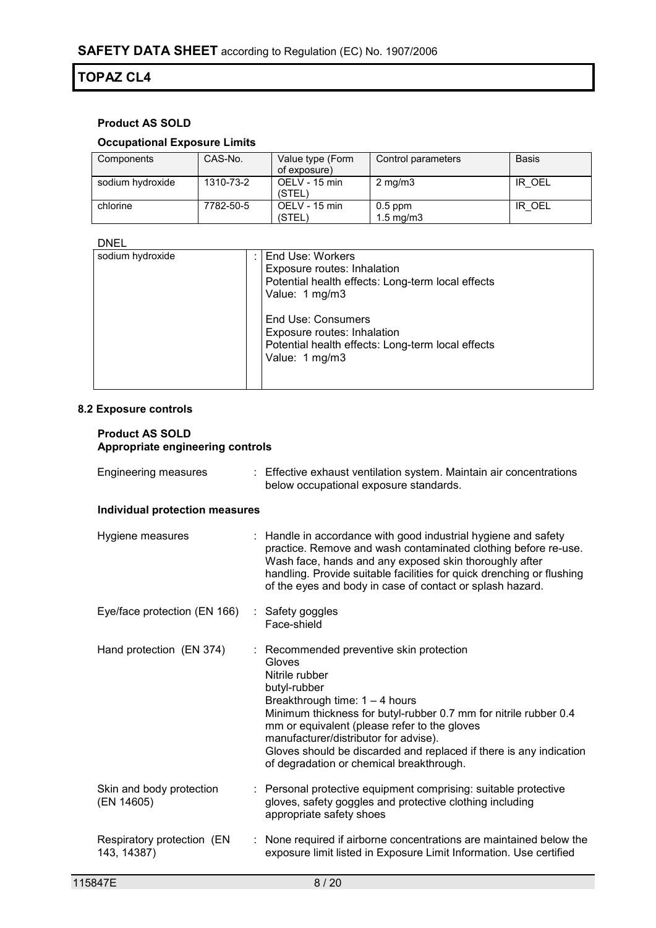### **Product AS SOLD**

#### **Occupational Exposure Limits**

| Components       | CAS-No.   | Value type (Form<br>of exposure) | Control parameters                | <b>Basis</b> |
|------------------|-----------|----------------------------------|-----------------------------------|--------------|
| sodium hydroxide | 1310-73-2 | OELV - 15 min<br>(STEL)          | $2 \text{ mg/m}$                  | IR OEL       |
| chlorine         | 7782-50-5 | OELV - 15 min<br>(STEL)          | $0.5$ ppm<br>$1.5 \text{ ma/m}$ 3 | IR OEL       |

#### DNEL

| ----             |                                                                                                                          |
|------------------|--------------------------------------------------------------------------------------------------------------------------|
| sodium hydroxide | End Use: Workers<br>Exposure routes: Inhalation<br>Potential health effects: Long-term local effects<br>Value: 1 mg/m3   |
|                  | End Use: Consumers<br>Exposure routes: Inhalation<br>Potential health effects: Long-term local effects<br>Value: 1 mg/m3 |

#### **8.2 Exposure controls**

#### **Product AS SOLD Appropriate engineering controls**

| <b>Engineering measures</b>               | : Effective exhaust ventilation system. Maintain air concentrations<br>below occupational exposure standards.                                                                                                                                                                                                                                                                                         |
|-------------------------------------------|-------------------------------------------------------------------------------------------------------------------------------------------------------------------------------------------------------------------------------------------------------------------------------------------------------------------------------------------------------------------------------------------------------|
| Individual protection measures            |                                                                                                                                                                                                                                                                                                                                                                                                       |
| Hygiene measures                          | : Handle in accordance with good industrial hygiene and safety<br>practice. Remove and wash contaminated clothing before re-use.<br>Wash face, hands and any exposed skin thoroughly after<br>handling. Provide suitable facilities for quick drenching or flushing<br>of the eyes and body in case of contact or splash hazard.                                                                      |
| Eye/face protection (EN 166)              | : Safety goggles<br>Face-shield                                                                                                                                                                                                                                                                                                                                                                       |
| Hand protection (EN 374)                  | Recommended preventive skin protection<br>Gloves<br>Nitrile rubber<br>butyl-rubber<br>Breakthrough time: $1 - 4$ hours<br>Minimum thickness for butyl-rubber 0.7 mm for nitrile rubber 0.4<br>mm or equivalent (please refer to the gloves<br>manufacturer/distributor for advise).<br>Gloves should be discarded and replaced if there is any indication<br>of degradation or chemical breakthrough. |
| Skin and body protection<br>(EN 14605)    | Personal protective equipment comprising: suitable protective<br>gloves, safety goggles and protective clothing including<br>appropriate safety shoes                                                                                                                                                                                                                                                 |
| Respiratory protection (EN<br>143, 14387) | None required if airborne concentrations are maintained below the<br>exposure limit listed in Exposure Limit Information. Use certified                                                                                                                                                                                                                                                               |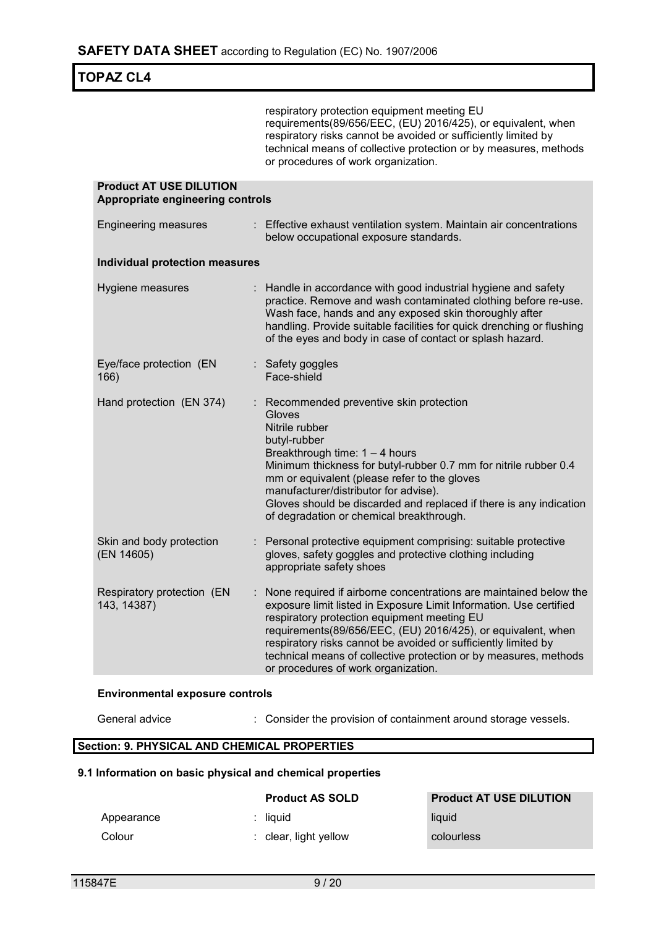respiratory protection equipment meeting EU requirements(89/656/EEC, (EU) 2016/425), or equivalent, when respiratory risks cannot be avoided or sufficiently limited by technical means of collective protection or by measures, methods or procedures of work organization.

| <b>Product AT USE DILUTION</b><br>Appropriate engineering controls |                                                                                                                                                                                                                                                                                                                                                                                                                                     |  |  |
|--------------------------------------------------------------------|-------------------------------------------------------------------------------------------------------------------------------------------------------------------------------------------------------------------------------------------------------------------------------------------------------------------------------------------------------------------------------------------------------------------------------------|--|--|
| <b>Engineering measures</b>                                        | : Effective exhaust ventilation system. Maintain air concentrations<br>below occupational exposure standards.                                                                                                                                                                                                                                                                                                                       |  |  |
| <b>Individual protection measures</b>                              |                                                                                                                                                                                                                                                                                                                                                                                                                                     |  |  |
| Hygiene measures                                                   | : Handle in accordance with good industrial hygiene and safety<br>practice. Remove and wash contaminated clothing before re-use.<br>Wash face, hands and any exposed skin thoroughly after<br>handling. Provide suitable facilities for quick drenching or flushing<br>of the eyes and body in case of contact or splash hazard.                                                                                                    |  |  |
| Eye/face protection (EN<br>166)                                    | : Safety goggles<br>Face-shield                                                                                                                                                                                                                                                                                                                                                                                                     |  |  |
| Hand protection (EN 374)                                           | Recommended preventive skin protection<br>Gloves<br>Nitrile rubber<br>butyl-rubber<br>Breakthrough time: $1 - 4$ hours<br>Minimum thickness for butyl-rubber 0.7 mm for nitrile rubber 0.4<br>mm or equivalent (please refer to the gloves<br>manufacturer/distributor for advise).<br>Gloves should be discarded and replaced if there is any indication<br>of degradation or chemical breakthrough.                               |  |  |
| Skin and body protection<br>(EN 14605)                             | Personal protective equipment comprising: suitable protective<br>gloves, safety goggles and protective clothing including<br>appropriate safety shoes                                                                                                                                                                                                                                                                               |  |  |
| Respiratory protection (EN<br>143, 14387)                          | None required if airborne concentrations are maintained below the<br>exposure limit listed in Exposure Limit Information. Use certified<br>respiratory protection equipment meeting EU<br>requirements(89/656/EEC, (EU) 2016/425), or equivalent, when<br>respiratory risks cannot be avoided or sufficiently limited by<br>technical means of collective protection or by measures, methods<br>or procedures of work organization. |  |  |

#### **Environmental exposure controls**

General advice : Consider the provision of containment around storage vessels.

#### **Section: 9. PHYSICAL AND CHEMICAL PROPERTIES**

#### **9.1 Information on basic physical and chemical properties**

|            | <b>Product AS SOLD</b>           | <b>Product AT USE DILUTION</b> |
|------------|----------------------------------|--------------------------------|
| Appearance | : liauid                         | liquid                         |
| Colour     | $\therefore$ clear, light yellow | colourless                     |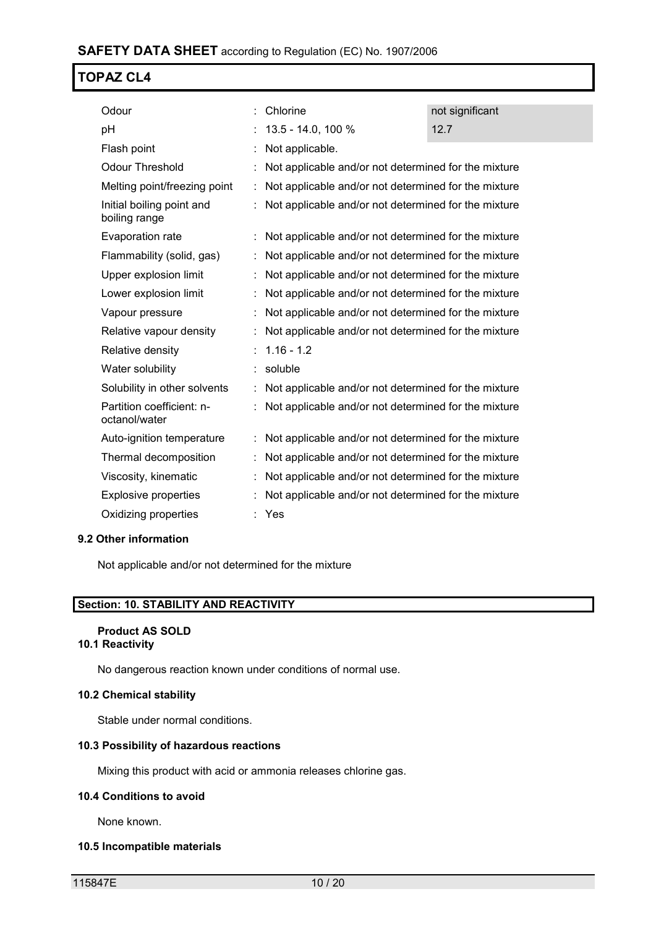| Odour                                      | Chlorine                                             | not significant |
|--------------------------------------------|------------------------------------------------------|-----------------|
| pH                                         | 13.5 - 14.0, 100 %                                   | 12.7            |
| Flash point                                | Not applicable.                                      |                 |
| Odour Threshold                            | Not applicable and/or not determined for the mixture |                 |
| Melting point/freezing point               | Not applicable and/or not determined for the mixture |                 |
| Initial boiling point and<br>boiling range | Not applicable and/or not determined for the mixture |                 |
| Evaporation rate                           | Not applicable and/or not determined for the mixture |                 |
| Flammability (solid, gas)                  | Not applicable and/or not determined for the mixture |                 |
| Upper explosion limit                      | Not applicable and/or not determined for the mixture |                 |
| Lower explosion limit                      | Not applicable and/or not determined for the mixture |                 |
| Vapour pressure                            | Not applicable and/or not determined for the mixture |                 |
| Relative vapour density                    | Not applicable and/or not determined for the mixture |                 |
| Relative density                           | $1.16 - 1.2$                                         |                 |
| Water solubility                           | soluble                                              |                 |
| Solubility in other solvents               | Not applicable and/or not determined for the mixture |                 |
| Partition coefficient: n-<br>octanol/water | Not applicable and/or not determined for the mixture |                 |
| Auto-ignition temperature                  | Not applicable and/or not determined for the mixture |                 |
| Thermal decomposition                      | Not applicable and/or not determined for the mixture |                 |
| Viscosity, kinematic                       | Not applicable and/or not determined for the mixture |                 |
| <b>Explosive properties</b>                | Not applicable and/or not determined for the mixture |                 |
| Oxidizing properties                       | Yes                                                  |                 |
|                                            |                                                      |                 |

#### **9.2 Other information**

Not applicable and/or not determined for the mixture

#### **Section: 10. STABILITY AND REACTIVITY**

#### **Product AS SOLD 10.1 Reactivity**

No dangerous reaction known under conditions of normal use.

#### **10.2 Chemical stability**

Stable under normal conditions.

#### **10.3 Possibility of hazardous reactions**

Mixing this product with acid or ammonia releases chlorine gas.

#### **10.4 Conditions to avoid**

None known.

#### **10.5 Incompatible materials**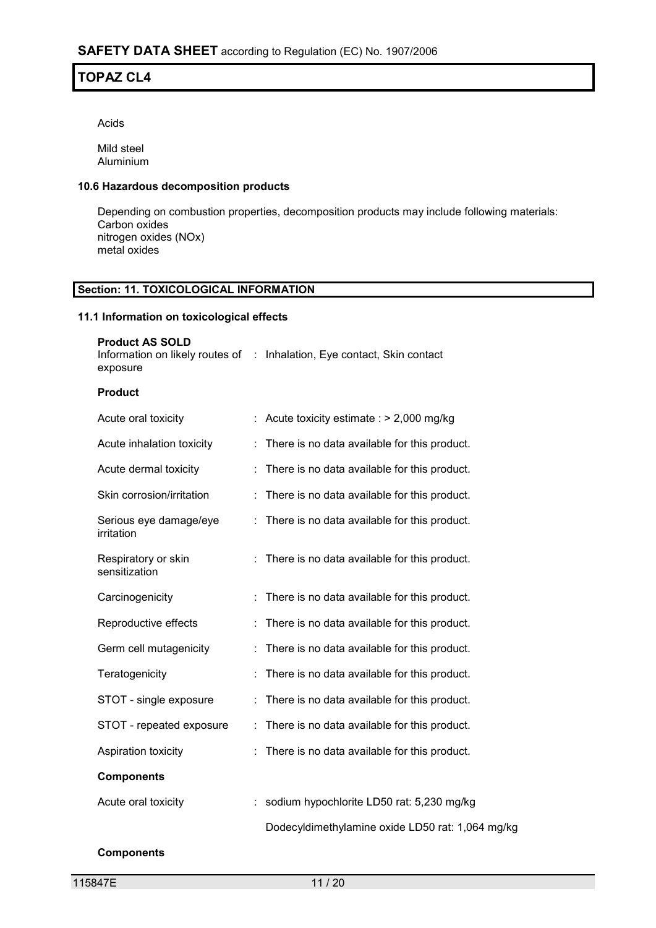Acids

Mild steel Aluminium

#### **10.6 Hazardous decomposition products**

Depending on combustion properties, decomposition products may include following materials: Carbon oxides nitrogen oxides (NOx) metal oxides

#### **Section: 11. TOXICOLOGICAL INFORMATION**

#### **11.1 Information on toxicological effects**

| <b>Product AS SOLD</b><br>exposure   |    | Information on likely routes of : Inhalation, Eye contact, Skin contact |
|--------------------------------------|----|-------------------------------------------------------------------------|
| <b>Product</b>                       |    |                                                                         |
| Acute oral toxicity                  |    | : Acute toxicity estimate : $> 2,000$ mg/kg                             |
| Acute inhalation toxicity            | ÷  | There is no data available for this product.                            |
| Acute dermal toxicity                | t. | There is no data available for this product.                            |
| Skin corrosion/irritation            | t. | There is no data available for this product.                            |
| Serious eye damage/eye<br>irritation | ÷  | There is no data available for this product.                            |
| Respiratory or skin<br>sensitization |    | There is no data available for this product.                            |
| Carcinogenicity                      | t, | There is no data available for this product.                            |
| Reproductive effects                 | t. | There is no data available for this product.                            |
| Germ cell mutagenicity               | ÷. | There is no data available for this product.                            |
| Teratogenicity                       |    | There is no data available for this product.                            |
| STOT - single exposure               | İ. | There is no data available for this product.                            |
| STOT - repeated exposure             | İ, | There is no data available for this product.                            |
| Aspiration toxicity                  |    | There is no data available for this product.                            |
| <b>Components</b>                    |    |                                                                         |
| Acute oral toxicity                  |    | : sodium hypochlorite LD50 rat: 5,230 mg/kg                             |
|                                      |    | Dodecyldimethylamine oxide LD50 rat: 1,064 mg/kg                        |

#### **Components**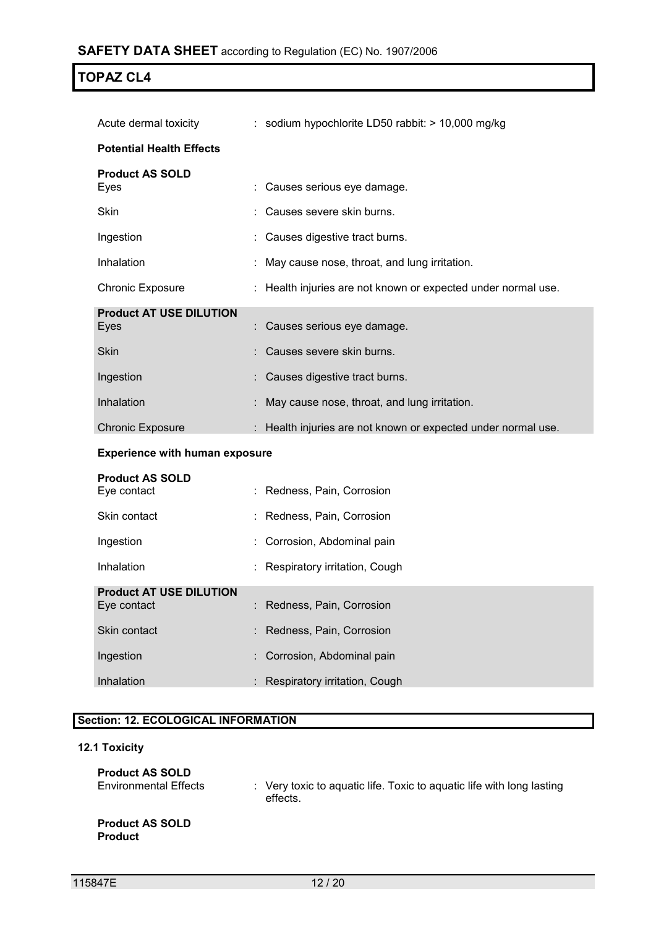| Acute dermal toxicity                         | : sodium hypochlorite LD50 rabbit: $> 10,000$ mg/kg           |
|-----------------------------------------------|---------------------------------------------------------------|
| <b>Potential Health Effects</b>               |                                                               |
| <b>Product AS SOLD</b><br>Eyes                | Causes serious eye damage.                                    |
| Skin                                          | Causes severe skin burns.                                     |
| Ingestion                                     | Causes digestive tract burns.                                 |
| Inhalation                                    | May cause nose, throat, and lung irritation.                  |
| <b>Chronic Exposure</b>                       | : Health injuries are not known or expected under normal use. |
| <b>Product AT USE DILUTION</b><br>Eyes        | Causes serious eye damage.                                    |
| <b>Skin</b>                                   | Causes severe skin burns.                                     |
| Ingestion                                     | Causes digestive tract burns.                                 |
| Inhalation                                    | May cause nose, throat, and lung irritation.                  |
| <b>Chronic Exposure</b>                       | : Health injuries are not known or expected under normal use. |
| <b>Experience with human exposure</b>         |                                                               |
| <b>Product AS SOLD</b><br>Eye contact         | Redness, Pain, Corrosion                                      |
| Skin contact                                  | Redness, Pain, Corrosion                                      |
| Ingestion                                     | Corrosion, Abdominal pain                                     |
| Inhalation                                    | Respiratory irritation, Cough                                 |
| <b>Product AT USE DILUTION</b><br>Eye contact | : Redness, Pain, Corrosion                                    |

| Eye contact  | : Redness, Pain, Corrosion      |
|--------------|---------------------------------|
| Skin contact | : Redness, Pain, Corrosion      |
| Ingestion    | : Corrosion, Abdominal pain     |
| Inhalation   | : Respiratory irritation, Cough |

## **Section: 12. ECOLOGICAL INFORMATION**

## **12.1 Toxicity**

| <b>Product AS SOLD</b><br><b>Environmental Effects</b> | $\therefore$ Very toxic to aguatic life. Toxic to aguatic life with long lasting<br>effects. |
|--------------------------------------------------------|----------------------------------------------------------------------------------------------|
| <b>Product AS SOLD</b><br><b>Product</b>               |                                                                                              |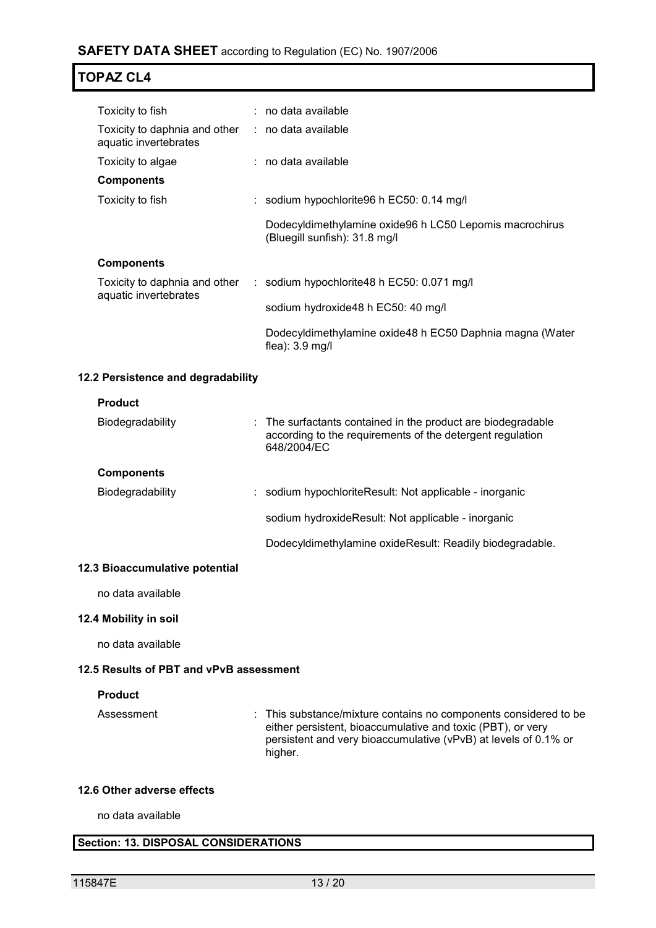### **SAFETY DATA SHEET** according to Regulation (EC) No. 1907/2006

## **TOPAZ CL4**

| Toxicity to fish                                                           | $:$ no data available                                                                    |
|----------------------------------------------------------------------------|------------------------------------------------------------------------------------------|
| Toxicity to daphnia and other : no data available<br>aquatic invertebrates |                                                                                          |
| Toxicity to algae                                                          | $:$ no data available                                                                    |
| <b>Components</b>                                                          |                                                                                          |
| Toxicity to fish                                                           | : sodium hypochlorite 96 h $EC50$ : 0.14 mg/l                                            |
|                                                                            | Dodecyldimethylamine oxide96 h LC50 Lepomis macrochirus<br>(Bluegill sunfish): 31.8 mg/l |
| <b>Components</b>                                                          |                                                                                          |
| Toxicity to daphnia and other<br>aquatic invertebrates                     | $\therefore$ sodium hypochlorite 48 h EC50: 0.071 mg/l                                   |
|                                                                            | sodium hydroxide48 h EC50: 40 mg/l                                                       |
|                                                                            | Dodecyldimethylamine oxide48 h EC50 Daphnia magna (Water<br>flea): $3.9 \text{ mg/l}$    |

#### **12.2 Persistence and degradability**

#### **Product**

| Biodegradability  | : The surfactants contained in the product are biodegradable<br>according to the requirements of the detergent regulation<br>648/2004/EC |
|-------------------|------------------------------------------------------------------------------------------------------------------------------------------|
| <b>Components</b> |                                                                                                                                          |
| Biodegradability  | : sodium hypochloriteResult: Not applicable - inorganic                                                                                  |
|                   | sodium hydroxide Result: Not applicable - inorganic                                                                                      |
|                   | Dodecyldimethylamine oxideResult: Readily biodegradable.                                                                                 |

#### **12.3 Bioaccumulative potential**

no data available

#### **12.4 Mobility in soil**

no data available

#### **12.5 Results of PBT and vPvB assessment**

#### **Product**

Assessment : This substance/mixture contains no components considered to be either persistent, bioaccumulative and toxic (PBT), or very persistent and very bioaccumulative (vPvB) at levels of 0.1% or higher.

#### **12.6 Other adverse effects**

no data available

#### **Section: 13. DISPOSAL CONSIDERATIONS**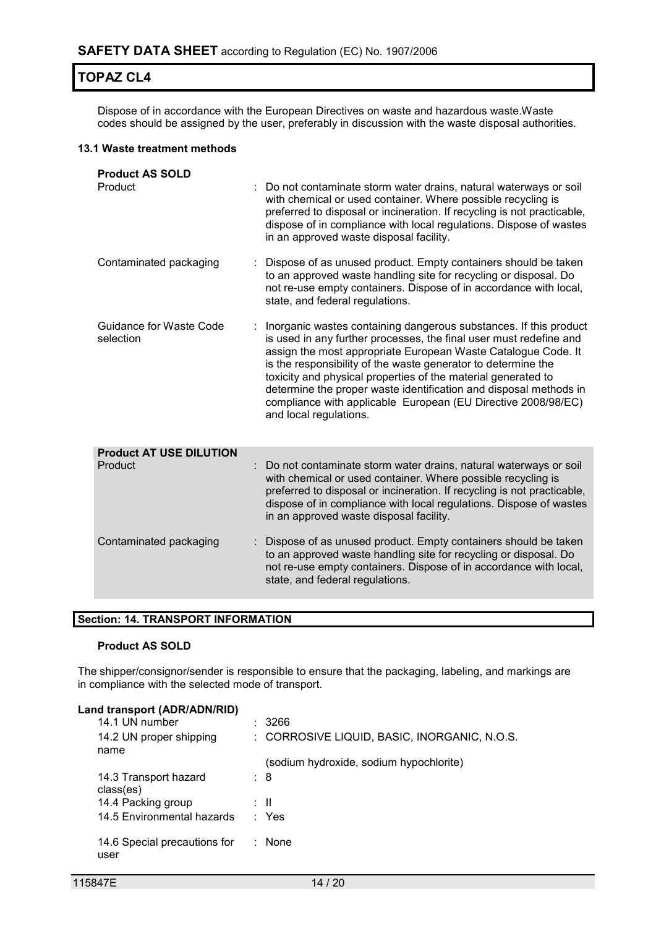Dispose of in accordance with the European Directives on waste and hazardous waste.Waste codes should be assigned by the user, preferably in discussion with the waste disposal authorities.

#### **13.1 Waste treatment methods**

| <b>Product AS SOLD</b><br>Product    |   | Do not contaminate storm water drains, natural waterways or soil<br>with chemical or used container. Where possible recycling is<br>preferred to disposal or incineration. If recycling is not practicable,<br>dispose of in compliance with local regulations. Dispose of wastes<br>in an approved waste disposal facility.                                                                                                                                                                               |
|--------------------------------------|---|------------------------------------------------------------------------------------------------------------------------------------------------------------------------------------------------------------------------------------------------------------------------------------------------------------------------------------------------------------------------------------------------------------------------------------------------------------------------------------------------------------|
| Contaminated packaging               |   | Dispose of as unused product. Empty containers should be taken<br>to an approved waste handling site for recycling or disposal. Do<br>not re-use empty containers. Dispose of in accordance with local,<br>state, and federal regulations.                                                                                                                                                                                                                                                                 |
| Guidance for Waste Code<br>selection |   | Inorganic wastes containing dangerous substances. If this product<br>is used in any further processes, the final user must redefine and<br>assign the most appropriate European Waste Catalogue Code. It<br>is the responsibility of the waste generator to determine the<br>toxicity and physical properties of the material generated to<br>determine the proper waste identification and disposal methods in<br>compliance with applicable European (EU Directive 2008/98/EC)<br>and local regulations. |
| <b>Product AT USE DILUTION</b>       |   |                                                                                                                                                                                                                                                                                                                                                                                                                                                                                                            |
| Product                              | ÷ | Do not contaminate storm water drains, natural waterways or soil<br>with chemical or used container. Where possible recycling is<br>preferred to disposal or incineration. If recycling is not practicable,<br>dispose of in compliance with local regulations. Dispose of wastes<br>in an approved waste disposal facility.                                                                                                                                                                               |
| Contaminated packaging               |   | Dispose of as unused product. Empty containers should be taken<br>to an approved waste handling site for recycling or disposal. Do<br>not re-use empty containers. Dispose of in accordance with local,<br>state, and federal regulations.                                                                                                                                                                                                                                                                 |

#### **Section: 14. TRANSPORT INFORMATION**

#### **Product AS SOLD**

The shipper/consignor/sender is responsible to ensure that the packaging, labeling, and markings are in compliance with the selected mode of transport.

#### **Land transport (ADR/ADN/RID)**

| 14.1 UN number                       | - 3266                                       |
|--------------------------------------|----------------------------------------------|
| 14.2 UN proper shipping              | : CORROSIVE LIQUID, BASIC, INORGANIC, N.O.S. |
| name                                 |                                              |
|                                      | (sodium hydroxide, sodium hypochlorite)      |
| 14.3 Transport hazard<br>class(es)   | : 8                                          |
| 14.4 Packing group                   | ÷Ш                                           |
| 14.5 Environmental hazards           | : Yes                                        |
| 14.6 Special precautions for<br>user | None                                         |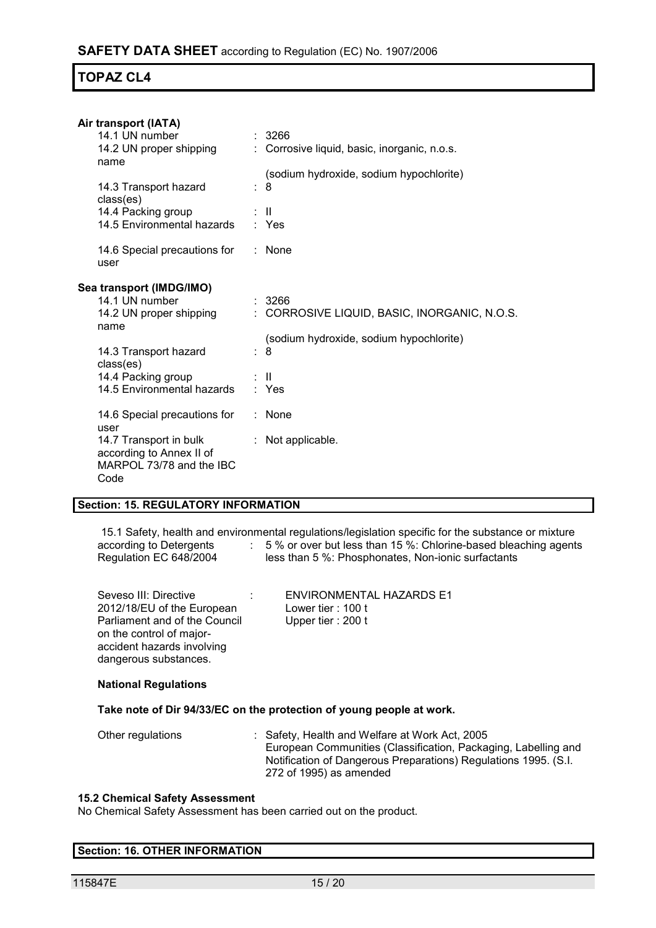| Air transport (IATA)<br>14.1 UN number<br>14.2 UN proper shipping<br>name                                                      | : 3266<br>: Corrosive liquid, basic, inorganic, n.o.s.                     |
|--------------------------------------------------------------------------------------------------------------------------------|----------------------------------------------------------------------------|
| 14.3 Transport hazard<br>class(es)<br>14.4 Packing group                                                                       | (sodium hydroxide, sodium hypochlorite)<br>: 8<br>÷ II.                    |
| 14.5 Environmental hazards<br>14.6 Special precautions for<br>user                                                             | : Yes<br>$:$ None                                                          |
| Sea transport (IMDG/IMO)<br>14.1 UN number<br>14.2 UN proper shipping                                                          | : 3266<br>: CORROSIVE LIQUID, BASIC, INORGANIC, N.O.S.                     |
| name<br>14.3 Transport hazard<br>class(es)<br>14.4 Packing group<br>14.5 Environmental hazards                                 | (sodium hydroxide, sodium hypochlorite)<br>$\therefore$ 8<br>: II<br>: Yes |
| 14.6 Special precautions for<br>user<br>14.7 Transport in bulk<br>according to Annex II of<br>MARPOL 73/78 and the IBC<br>Code | $:$ None<br>: Not applicable.                                              |

#### **Section: 15. REGULATORY INFORMATION**

15.1 Safety, health and environmental regulations/legislation specific for the substance or mixture according to Detergents  $\qquad \qquad : \quad 5\ \%$  or over but less than 15 %: Chlorine-based bleaching agents Regulation EC 648/2004 less than 5 %: Phosphonates, Non-ionic surfactants

| Seveso III: Directive         | <b>ENVIRONMENTAL HAZARDS E1</b> |
|-------------------------------|---------------------------------|
| 2012/18/EU of the European    | Lower tier : $100$ t            |
| Parliament and of the Council | Upper tier: 200 t               |
| on the control of major-      |                                 |
| accident hazards involving    |                                 |
| dangerous substances.         |                                 |

#### **National Regulations**

#### **Take note of Dir 94/33/EC on the protection of young people at work.**

| Other regulations |  | : Safety, Health and Welfare at Work Act, 2005                  |
|-------------------|--|-----------------------------------------------------------------|
|                   |  | European Communities (Classification, Packaging, Labelling and  |
|                   |  | Notification of Dangerous Preparations) Regulations 1995. (S.I. |
|                   |  | 272 of 1995) as amended                                         |

#### **15.2 Chemical Safety Assessment**

No Chemical Safety Assessment has been carried out on the product.

#### **Section: 16. OTHER INFORMATION**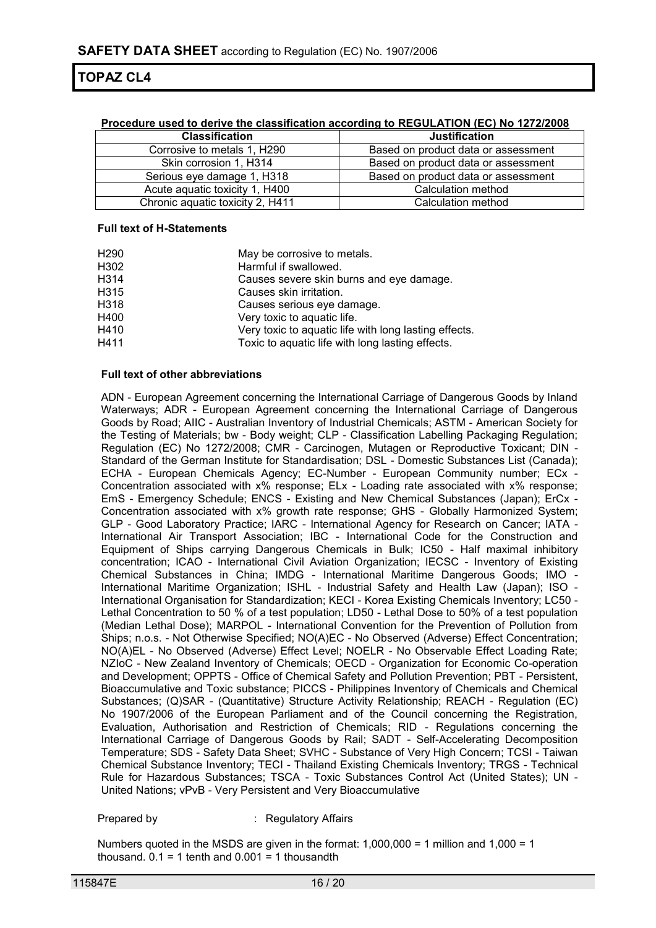| <b>Classification</b>            | <b>Justification</b>                |
|----------------------------------|-------------------------------------|
| Corrosive to metals 1, H290      | Based on product data or assessment |
| Skin corrosion 1, H314           | Based on product data or assessment |
| Serious eye damage 1, H318       | Based on product data or assessment |
| Acute aquatic toxicity 1, H400   | Calculation method                  |
| Chronic aquatic toxicity 2, H411 | Calculation method                  |

#### **Procedure used to derive the classification according to REGULATION (EC) No 1272/2008**

#### **Full text of H-Statements**

| H <sub>290</sub> | May be corrosive to metals.                           |
|------------------|-------------------------------------------------------|
| H302             | Harmful if swallowed.                                 |
| H314             | Causes severe skin burns and eye damage.              |
| H315             | Causes skin irritation.                               |
| H318             | Causes serious eye damage.                            |
| H400             | Very toxic to aquatic life.                           |
| H410             | Very toxic to aquatic life with long lasting effects. |
| H411             | Toxic to aquatic life with long lasting effects.      |

#### **Full text of other abbreviations**

ADN - European Agreement concerning the International Carriage of Dangerous Goods by Inland Waterways; ADR - European Agreement concerning the International Carriage of Dangerous Goods by Road; AIIC - Australian Inventory of Industrial Chemicals; ASTM - American Society for the Testing of Materials; bw - Body weight; CLP - Classification Labelling Packaging Regulation; Regulation (EC) No 1272/2008; CMR - Carcinogen, Mutagen or Reproductive Toxicant; DIN - Standard of the German Institute for Standardisation; DSL - Domestic Substances List (Canada); ECHA - European Chemicals Agency; EC-Number - European Community number; ECx - Concentration associated with x% response; ELx - Loading rate associated with x% response; EmS - Emergency Schedule; ENCS - Existing and New Chemical Substances (Japan); ErCx - Concentration associated with x% growth rate response; GHS - Globally Harmonized System; GLP - Good Laboratory Practice; IARC - International Agency for Research on Cancer; IATA - International Air Transport Association; IBC - International Code for the Construction and Equipment of Ships carrying Dangerous Chemicals in Bulk; IC50 - Half maximal inhibitory concentration; ICAO - International Civil Aviation Organization; IECSC - Inventory of Existing Chemical Substances in China; IMDG - International Maritime Dangerous Goods; IMO - International Maritime Organization; ISHL - Industrial Safety and Health Law (Japan); ISO - International Organisation for Standardization; KECI - Korea Existing Chemicals Inventory; LC50 - Lethal Concentration to 50 % of a test population; LD50 - Lethal Dose to 50% of a test population (Median Lethal Dose); MARPOL - International Convention for the Prevention of Pollution from Ships; n.o.s. - Not Otherwise Specified; NO(A)EC - No Observed (Adverse) Effect Concentration; NO(A)EL - No Observed (Adverse) Effect Level; NOELR - No Observable Effect Loading Rate; NZIoC - New Zealand Inventory of Chemicals; OECD - Organization for Economic Co-operation and Development; OPPTS - Office of Chemical Safety and Pollution Prevention; PBT - Persistent, Bioaccumulative and Toxic substance; PICCS - Philippines Inventory of Chemicals and Chemical Substances; (Q)SAR - (Quantitative) Structure Activity Relationship; REACH - Regulation (EC) No 1907/2006 of the European Parliament and of the Council concerning the Registration, Evaluation, Authorisation and Restriction of Chemicals; RID - Regulations concerning the International Carriage of Dangerous Goods by Rail; SADT - Self-Accelerating Decomposition Temperature; SDS - Safety Data Sheet; SVHC - Substance of Very High Concern; TCSI - Taiwan Chemical Substance Inventory; TECI - Thailand Existing Chemicals Inventory; TRGS - Technical Rule for Hazardous Substances; TSCA - Toxic Substances Control Act (United States); UN - United Nations; vPvB - Very Persistent and Very Bioaccumulative

Prepared by : Regulatory Affairs

Numbers quoted in the MSDS are given in the format: 1,000,000 = 1 million and 1,000 = 1 thousand.  $0.1 = 1$  tenth and  $0.001 = 1$  thousandth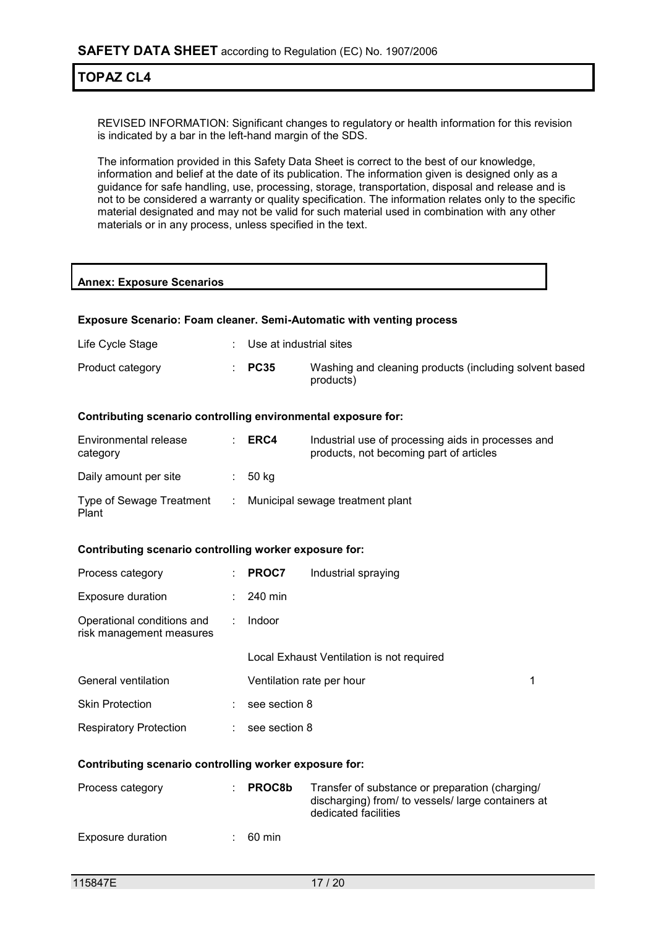REVISED INFORMATION: Significant changes to regulatory or health information for this revision is indicated by a bar in the left-hand margin of the SDS.

The information provided in this Safety Data Sheet is correct to the best of our knowledge, information and belief at the date of its publication. The information given is designed only as a guidance for safe handling, use, processing, storage, transportation, disposal and release and is not to be considered a warranty or quality specification. The information relates only to the specific material designated and may not be valid for such material used in combination with any other materials or in any process, unless specified in the text.

#### **Annex: Exposure Scenarios**

#### **Exposure Scenario: Foam cleaner. Semi-Automatic with venting process**

| Life Cycle Stage | Use at industrial sites |  |
|------------------|-------------------------|--|
|                  |                         |  |

| products) | Product category |  | $\therefore$ PC35 | Washing and cleaning products (including solvent based |
|-----------|------------------|--|-------------------|--------------------------------------------------------|
|-----------|------------------|--|-------------------|--------------------------------------------------------|

#### **Contributing scenario controlling environmental exposure for:**

| Environmental release<br>category | ERC4  | Industrial use of processing aids in processes and<br>products, not becoming part of articles |
|-----------------------------------|-------|-----------------------------------------------------------------------------------------------|
| Daily amount per site             | 50 ka |                                                                                               |
| Type of Sewage Treatment<br>Plant |       | Municipal sewage treatment plant                                                              |

#### **Contributing scenario controlling worker exposure for:**

| Process category                                       |    | <b>PROC7</b>  | Industrial spraying                       |   |
|--------------------------------------------------------|----|---------------|-------------------------------------------|---|
| <b>Exposure duration</b>                               | ÷. | 240 min       |                                           |   |
| Operational conditions and<br>risk management measures |    | Indoor        |                                           |   |
|                                                        |    |               | Local Exhaust Ventilation is not required |   |
| General ventilation                                    |    |               | Ventilation rate per hour                 | 1 |
| <b>Skin Protection</b>                                 |    | see section 8 |                                           |   |
| <b>Respiratory Protection</b>                          |    | see section 8 |                                           |   |

#### **Contributing scenario controlling worker exposure for:**

| Process category  | <b>PROC8b</b> | Transfer of substance or preparation (charging/<br>discharging) from/ to vessels/ large containers at<br>dedicated facilities |
|-------------------|---------------|-------------------------------------------------------------------------------------------------------------------------------|
| Exposure duration | 60 min        |                                                                                                                               |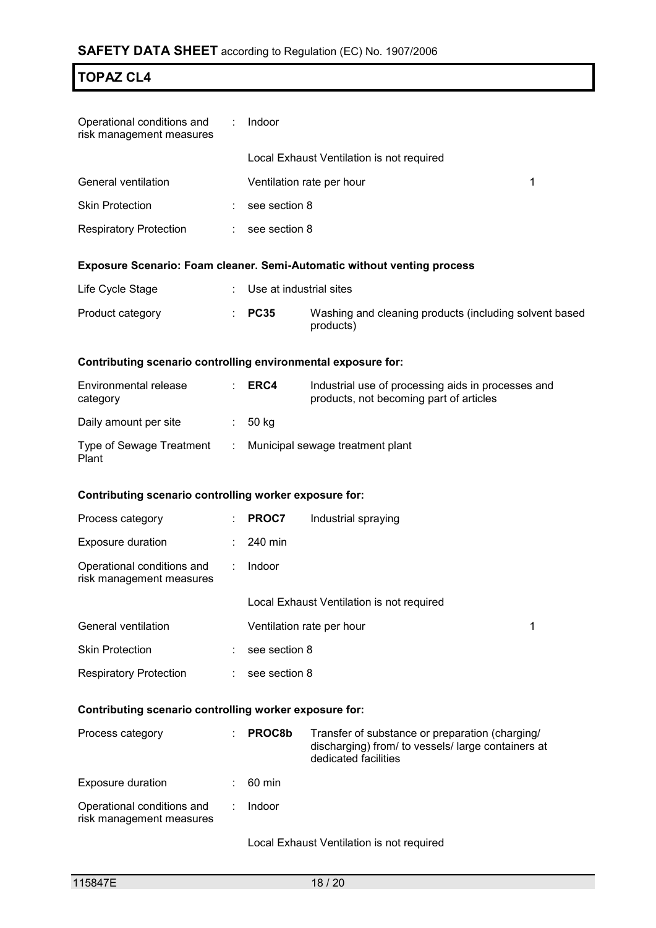| Operational conditions and<br>risk management measures               | ÷                     | Indoor                  |                                                                                                                               |  |  |  |
|----------------------------------------------------------------------|-----------------------|-------------------------|-------------------------------------------------------------------------------------------------------------------------------|--|--|--|
|                                                                      |                       |                         | Local Exhaust Ventilation is not required                                                                                     |  |  |  |
| General ventilation                                                  |                       |                         | 1<br>Ventilation rate per hour                                                                                                |  |  |  |
| <b>Skin Protection</b>                                               |                       | see section 8           |                                                                                                                               |  |  |  |
| <b>Respiratory Protection</b>                                        | ÷.                    | see section 8           |                                                                                                                               |  |  |  |
|                                                                      |                       |                         | <b>Exposure Scenario: Foam cleaner. Semi-Automatic without venting process</b>                                                |  |  |  |
| Life Cycle Stage                                                     |                       | Use at industrial sites |                                                                                                                               |  |  |  |
| Product category                                                     |                       | <b>PC35</b>             | Washing and cleaning products (including solvent based<br>products)                                                           |  |  |  |
| Contributing scenario controlling environmental exposure for:        |                       |                         |                                                                                                                               |  |  |  |
| Environmental release<br>category                                    |                       | ERC4                    | Industrial use of processing aids in processes and<br>products, not becoming part of articles                                 |  |  |  |
| Daily amount per site                                                | $\mathbb{Z}^{\times}$ | 50 kg                   |                                                                                                                               |  |  |  |
| Type of Sewage Treatment : Municipal sewage treatment plant<br>Plant |                       |                         |                                                                                                                               |  |  |  |
| Contributing scenario controlling worker exposure for:               |                       |                         |                                                                                                                               |  |  |  |
| Process category                                                     |                       | PROC7                   | Industrial spraying                                                                                                           |  |  |  |
| <b>Exposure duration</b>                                             |                       | 240 min                 |                                                                                                                               |  |  |  |
| Operational conditions and<br>risk management measures               | $\mathbb{Z}^{\times}$ | Indoor                  |                                                                                                                               |  |  |  |
|                                                                      |                       |                         | Local Exhaust Ventilation is not required                                                                                     |  |  |  |
| General ventilation                                                  |                       |                         | Ventilation rate per hour<br>1                                                                                                |  |  |  |
| <b>Skin Protection</b>                                               |                       | see section 8           |                                                                                                                               |  |  |  |
| <b>Respiratory Protection</b>                                        |                       | see section 8           |                                                                                                                               |  |  |  |
| Contributing scenario controlling worker exposure for:               |                       |                         |                                                                                                                               |  |  |  |
| Process category                                                     |                       | PROC8b                  | Transfer of substance or preparation (charging/<br>discharging) from/ to vessels/ large containers at<br>dedicated facilities |  |  |  |
| <b>Exposure duration</b>                                             |                       | 60 min                  |                                                                                                                               |  |  |  |
| Operational conditions and<br>risk management measures               |                       | Indoor                  |                                                                                                                               |  |  |  |

Local Exhaust Ventilation is not required